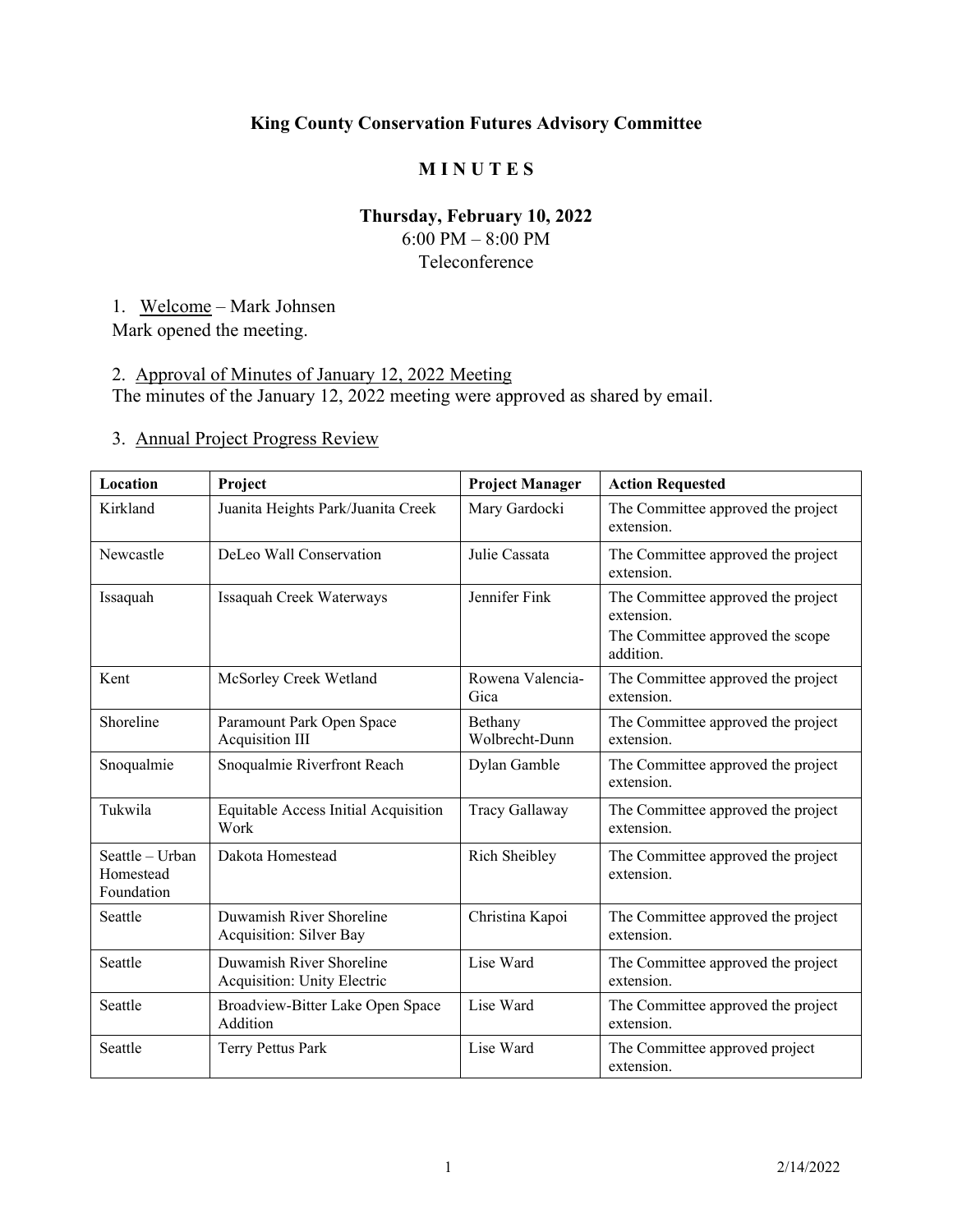## **King County Conservation Futures Advisory Committee**

### **M I N U T E S**

# **Thursday, February 10, 2022**

6:00 PM – 8:00 PM Teleconference

1. Welcome – Mark Johnsen

Mark opened the meeting.

# 2. Approval of Minutes of January 12, 2022 Meeting

The minutes of the January 12, 2022 meeting were approved as shared by email.

# 3. Annual Project Progress Review

| Location                                   | Project                                                        | <b>Project Manager</b>    | <b>Action Requested</b>                                                                           |  |
|--------------------------------------------|----------------------------------------------------------------|---------------------------|---------------------------------------------------------------------------------------------------|--|
| Kirkland                                   | Juanita Heights Park/Juanita Creek                             | Mary Gardocki             | The Committee approved the project<br>extension.                                                  |  |
| Newcastle                                  | DeLeo Wall Conservation                                        | Julie Cassata             | The Committee approved the project<br>extension.                                                  |  |
| Issaquah                                   | Issaquah Creek Waterways                                       | Jennifer Fink             | The Committee approved the project<br>extension.<br>The Committee approved the scope<br>addition. |  |
| Kent                                       | McSorley Creek Wetland                                         | Rowena Valencia-<br>Gica  | The Committee approved the project<br>extension.                                                  |  |
| Shoreline                                  | Paramount Park Open Space<br>Acquisition III                   | Bethany<br>Wolbrecht-Dunn | The Committee approved the project<br>extension.                                                  |  |
| Snoqualmie                                 | Snoqualmie Riverfront Reach                                    | Dylan Gamble              | The Committee approved the project<br>extension.                                                  |  |
| Tukwila                                    | Equitable Access Initial Acquisition<br>Work                   | Tracy Gallaway            | The Committee approved the project<br>extension.                                                  |  |
| Seattle - Urban<br>Homestead<br>Foundation | Dakota Homestead                                               | Rich Sheibley             | The Committee approved the project<br>extension.                                                  |  |
| Seattle                                    | Duwamish River Shoreline<br>Acquisition: Silver Bay            | Christina Kapoi           | The Committee approved the project<br>extension.                                                  |  |
| Seattle                                    | Duwamish River Shoreline<br><b>Acquisition: Unity Electric</b> | Lise Ward                 | The Committee approved the project<br>extension.                                                  |  |
| Seattle                                    | Broadview-Bitter Lake Open Space<br>Addition                   | Lise Ward                 | The Committee approved the project<br>extension.                                                  |  |
| Seattle                                    | Terry Pettus Park                                              | Lise Ward                 | The Committee approved project<br>extension.                                                      |  |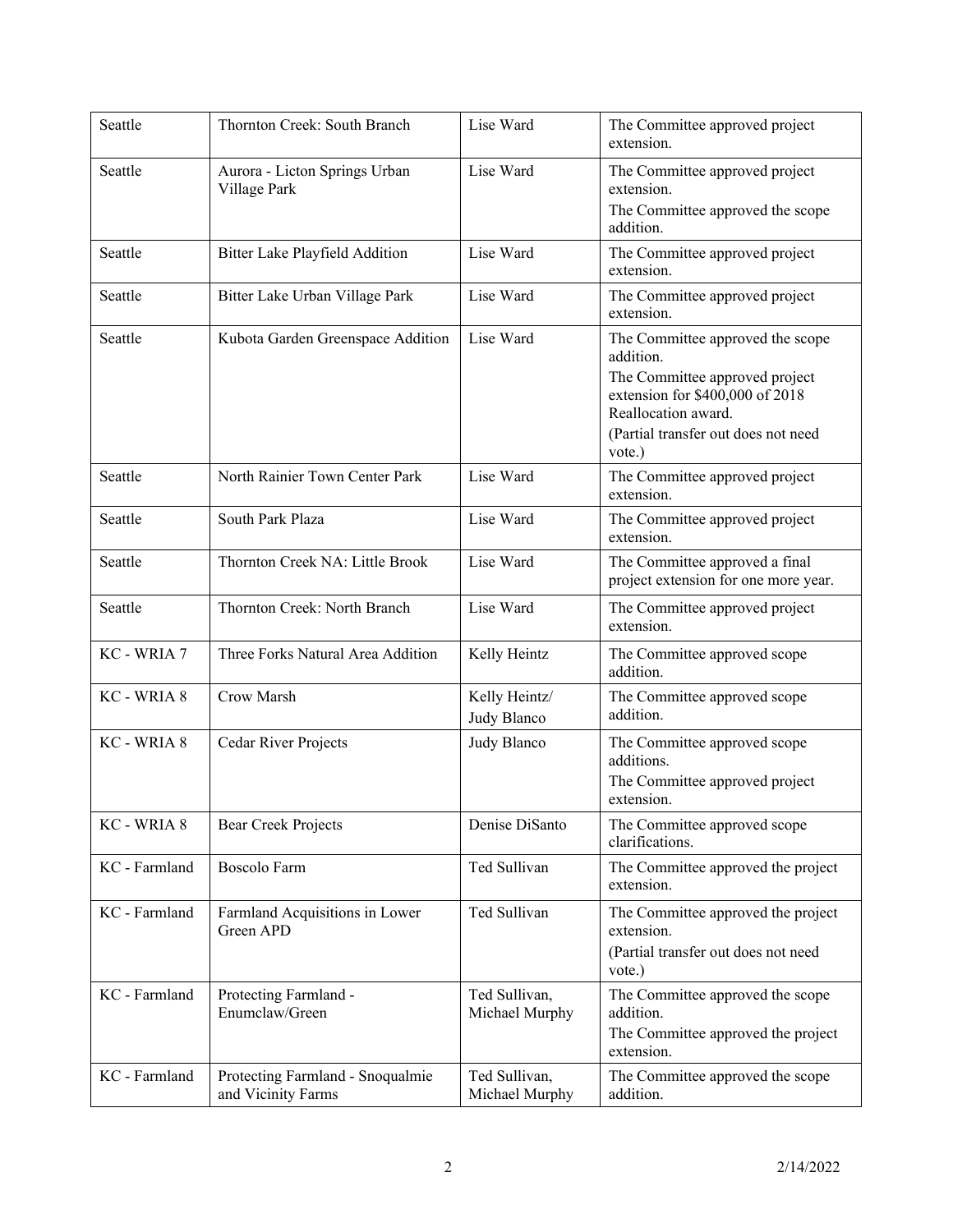| Seattle       | Thornton Creek: South Branch                           | Lise Ward                       | The Committee approved project<br>extension.                                                                                                                                               |  |
|---------------|--------------------------------------------------------|---------------------------------|--------------------------------------------------------------------------------------------------------------------------------------------------------------------------------------------|--|
| Seattle       | Aurora - Licton Springs Urban<br>Village Park          | Lise Ward                       | The Committee approved project<br>extension.<br>The Committee approved the scope<br>addition.                                                                                              |  |
| Seattle       | Bitter Lake Playfield Addition                         | Lise Ward                       | The Committee approved project<br>extension.                                                                                                                                               |  |
| Seattle       | Bitter Lake Urban Village Park                         | Lise Ward                       | The Committee approved project<br>extension.                                                                                                                                               |  |
| Seattle       | Kubota Garden Greenspace Addition                      | Lise Ward                       | The Committee approved the scope<br>addition.<br>The Committee approved project<br>extension for \$400,000 of 2018<br>Reallocation award.<br>(Partial transfer out does not need<br>vote.) |  |
| Seattle       | North Rainier Town Center Park                         | Lise Ward                       | The Committee approved project<br>extension.                                                                                                                                               |  |
| Seattle       | South Park Plaza                                       | Lise Ward                       | The Committee approved project<br>extension.                                                                                                                                               |  |
| Seattle       | Thornton Creek NA: Little Brook                        | Lise Ward                       | The Committee approved a final<br>project extension for one more year.                                                                                                                     |  |
| Seattle       | Thornton Creek: North Branch                           | Lise Ward                       | The Committee approved project<br>extension.                                                                                                                                               |  |
| KC - WRIA 7   | Three Forks Natural Area Addition                      | Kelly Heintz                    | The Committee approved scope<br>addition.                                                                                                                                                  |  |
| KC - WRIA 8   | Crow Marsh                                             | Kelly Heintz/<br>Judy Blanco    | The Committee approved scope<br>addition.                                                                                                                                                  |  |
| KC - WRIA 8   | Cedar River Projects                                   | Judy Blanco                     | The Committee approved scope<br>additions.<br>The Committee approved project<br>extension.                                                                                                 |  |
| KC - WRIA 8   | <b>Bear Creek Projects</b>                             | Denise DiSanto                  | The Committee approved scope<br>clarifications.                                                                                                                                            |  |
| KC - Farmland | <b>Boscolo Farm</b>                                    | Ted Sullivan                    | The Committee approved the project<br>extension.                                                                                                                                           |  |
| KC - Farmland | Farmland Acquisitions in Lower<br>Green APD            | Ted Sullivan                    | The Committee approved the project<br>extension.<br>(Partial transfer out does not need<br>vote.)                                                                                          |  |
| KC - Farmland | Protecting Farmland -<br>Enumclaw/Green                | Ted Sullivan,<br>Michael Murphy | The Committee approved the scope<br>addition.<br>The Committee approved the project<br>extension.                                                                                          |  |
| KC - Farmland | Protecting Farmland - Snoqualmie<br>and Vicinity Farms | Ted Sullivan,<br>Michael Murphy | The Committee approved the scope<br>addition.                                                                                                                                              |  |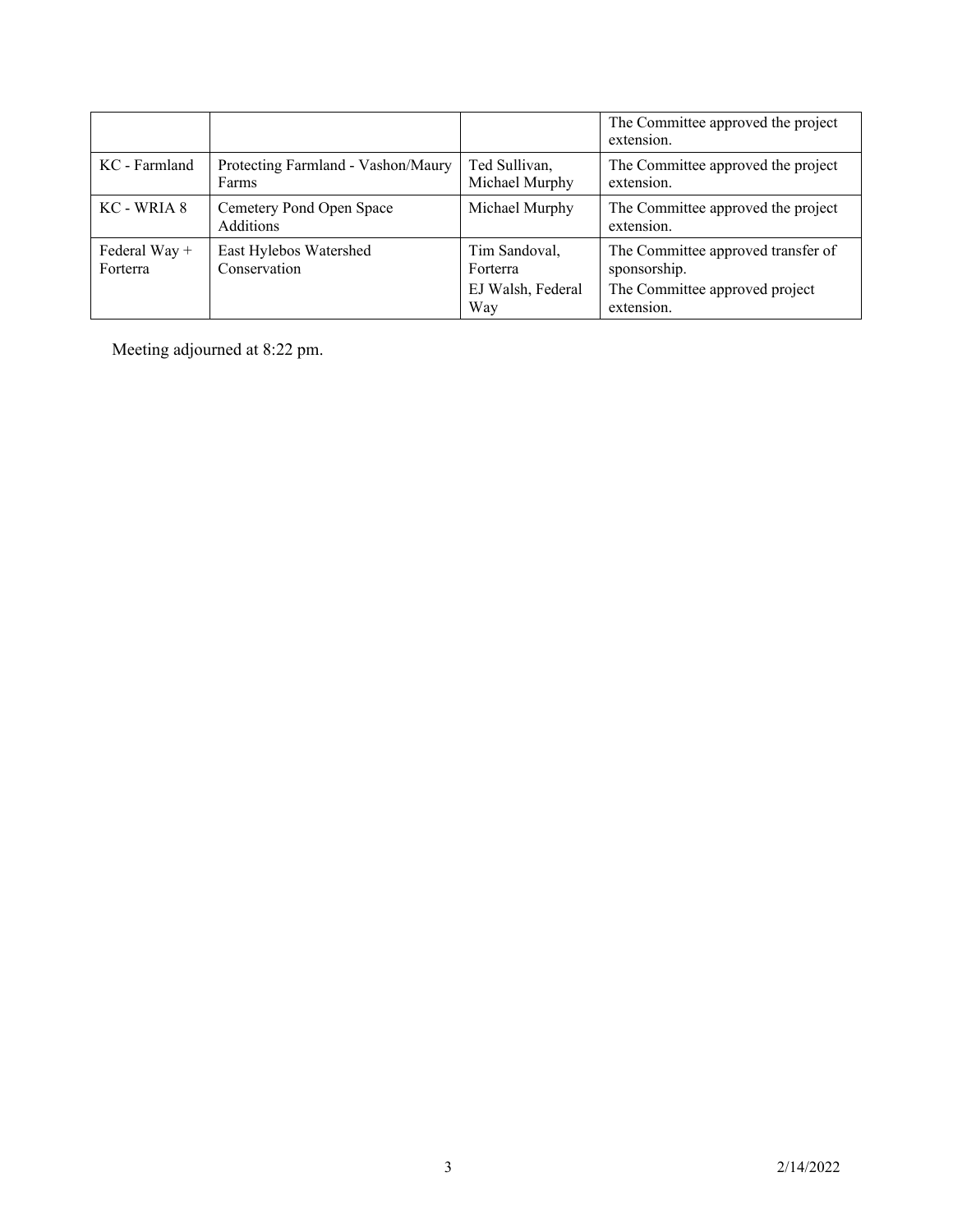|                             |                                              |                                 | The Committee approved the project<br>extension.   |
|-----------------------------|----------------------------------------------|---------------------------------|----------------------------------------------------|
| KC - Farmland               | Protecting Farmland - Vashon/Maury<br>Farms  | Ted Sullivan,<br>Michael Murphy | The Committee approved the project<br>extension.   |
| KC - WRIA 8                 | Cemetery Pond Open Space<br><b>Additions</b> | Michael Murphy                  | The Committee approved the project<br>extension.   |
| Federal Way $+$<br>Forterra | East Hylebos Watershed<br>Conservation       | Tim Sandoval,<br>Forterra       | The Committee approved transfer of<br>sponsorship. |
|                             |                                              | EJ Walsh, Federal<br>Way        | The Committee approved project<br>extension.       |

Meeting adjourned at 8:22 pm.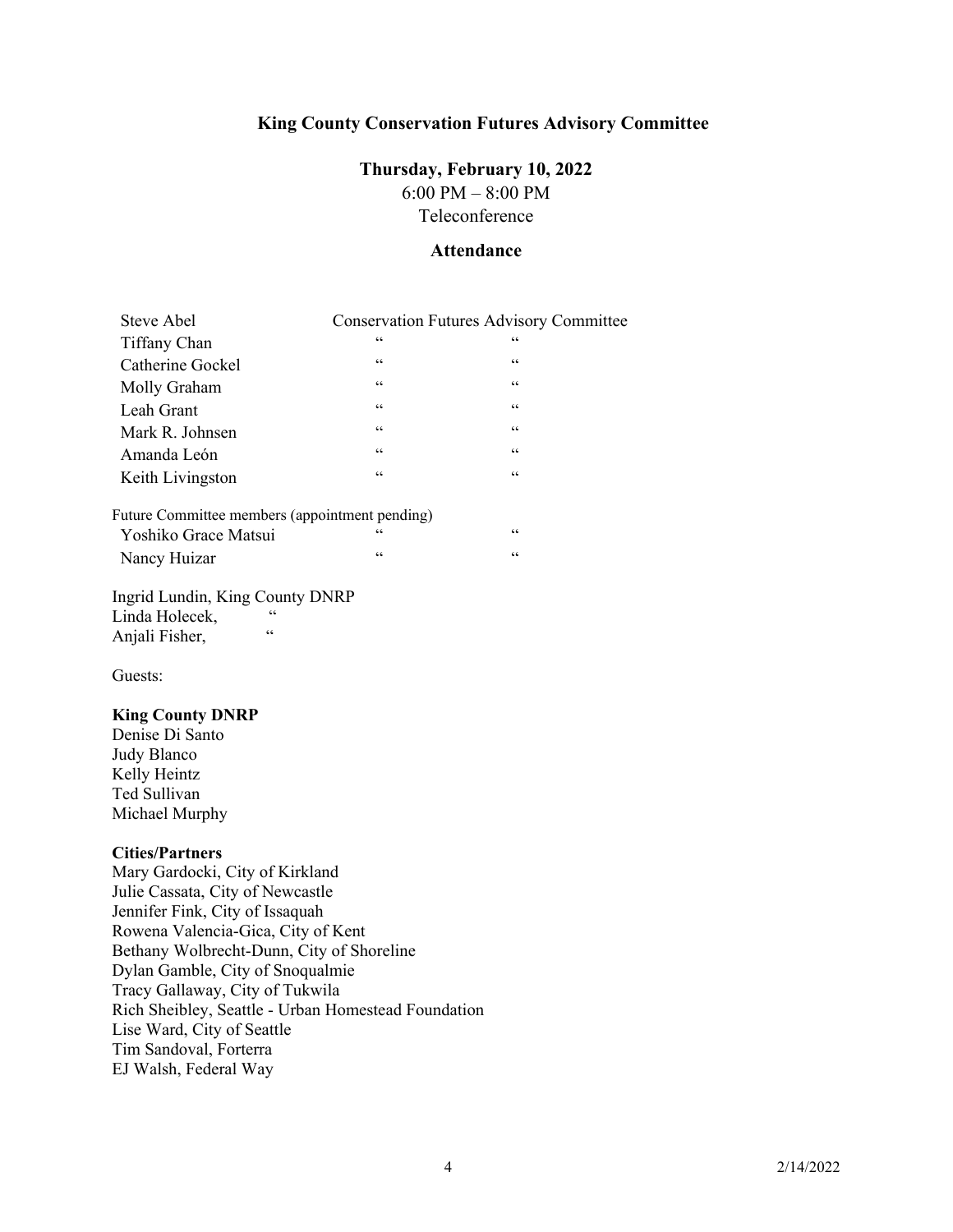### **King County Conservation Futures Advisory Committee**

# **Thursday, February 10, 2022**

6:00 PM – 8:00 PM Teleconference

#### **Attendance**

| Steve Abel       | <b>Conservation Futures Advisory Committee</b> |               |  |
|------------------|------------------------------------------------|---------------|--|
| Tiffany Chan     | $\zeta$ $\zeta$                                | 66            |  |
| Catherine Gockel | $\mbox{\bf 6}$                                 | 66            |  |
| Molly Graham     | $\zeta \, \zeta$                               | $\zeta \zeta$ |  |
| Leah Grant       | $\mbox{\bf 6}$                                 | 66            |  |
| Mark R. Johnsen  | $\mbox{\bf 6}$                                 | $\zeta \zeta$ |  |
| Amanda León      | $\mbox{\bf 6}$                                 | $\zeta \zeta$ |  |
| Keith Livingston | $\leq$ $\leq$                                  | 66            |  |
|                  |                                                |               |  |

### Future Committee members (appointment pending)

| Yoshiko Grace Matsui |  |
|----------------------|--|
| Nancy Huizar         |  |

Ingrid Lundin, King County DNRP Linda Holecek, Anjali Fisher, "

Guests:

#### **King County DNRP**

Denise Di Santo Judy Blanco Kelly Heintz Ted Sullivan Michael Murphy

#### **Cities/Partners**

Mary Gardocki, City of Kirkland Julie Cassata, City of Newcastle Jennifer Fink, City of Issaquah Rowena Valencia-Gica, City of Kent Bethany Wolbrecht-Dunn, City of Shoreline Dylan Gamble, City of Snoqualmie Tracy Gallaway, City of Tukwila Rich Sheibley, Seattle - Urban Homestead Foundation Lise Ward, City of Seattle Tim Sandoval, Forterra EJ Walsh, Federal Way